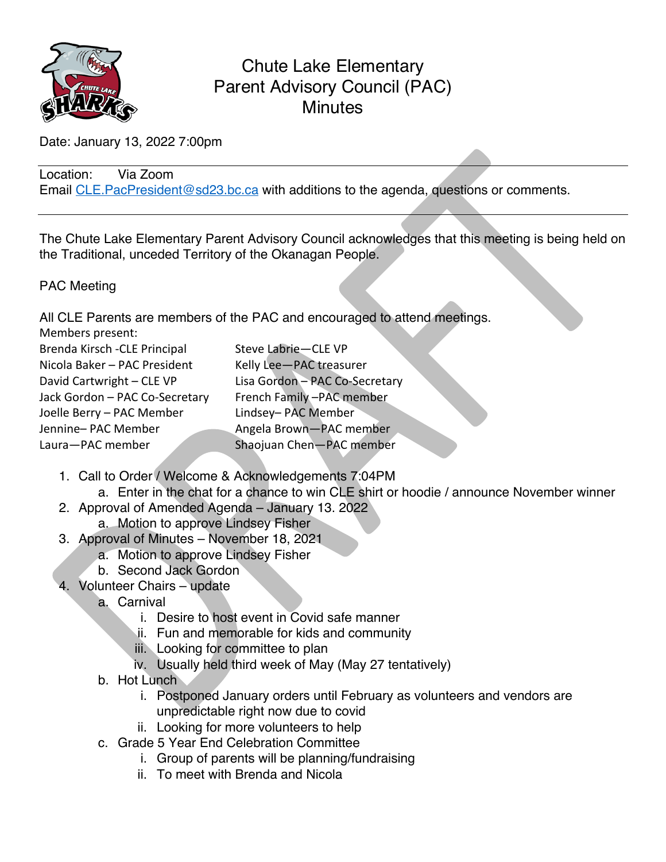

# Chute Lake Elementary Parent Advisory Council (PAC) **Minutes**

Date: January 13, 2022 7:00pm

Location: Via Zoom Email CLE. PacPresident@sd23.bc.ca with additions to the agenda, questions or comments.

The Chute Lake Elementary Parent Advisory Council acknowledges that this meeting is being held on the Traditional, unceded Territory of the Okanagan People.

#### PAC Meeting

All CLE Parents are members of the PAC and encouraged to attend meetings.

| $\overline{A}$ . Offer a critically different contribution of the $\overline{A}$ of $\overline{A}$ of $\overline{A}$ of $\overline{A}$ |                                |
|----------------------------------------------------------------------------------------------------------------------------------------|--------------------------------|
| Members present:                                                                                                                       |                                |
| Brenda Kirsch - CLE Principal                                                                                                          | Steve Labrie-CLE VP            |
| Nicola Baker - PAC President                                                                                                           | Kelly Lee-PAC treasurer        |
| David Cartwright - CLE VP                                                                                                              | Lisa Gordon - PAC Co-Secretary |
| Jack Gordon - PAC Co-Secretary                                                                                                         | French Family-PAC member       |
| Joelle Berry - PAC Member                                                                                                              | Lindsey- PAC Member            |
| Jennine-PAC Member                                                                                                                     | Angela Brown-PAC member        |
| Laura-PAC member                                                                                                                       | Shaojuan Chen-PAC member       |

- 1. Call to Order / Welcome & Acknowledgements 7:04PM
	- a. Enter in the chat for a chance to win CLE shirt or hoodie / announce November winner
- 2. Approval of Amended Agenda January 13. 2022
	- a. Motion to approve Lindsey Fisher
- 3. Approval of Minutes November 18, 2021
	- a. Motion to approve Lindsey Fisher
	- b. Second Jack Gordon
- 4. Volunteer Chairs update
	- a. Carnival
		- i. Desire to host event in Covid safe manner
		- ii. Fun and memorable for kids and community
		- iii. Looking for committee to plan
		- iv. Usually held third week of May (May 27 tentatively)
	- b. Hot Lunch
		- i. Postponed January orders until February as volunteers and vendors are unpredictable right now due to covid
		- ii. Looking for more volunteers to help
	- c. Grade 5 Year End Celebration Committee
		- i. Group of parents will be planning/fundraising
		- ii. To meet with Brenda and Nicola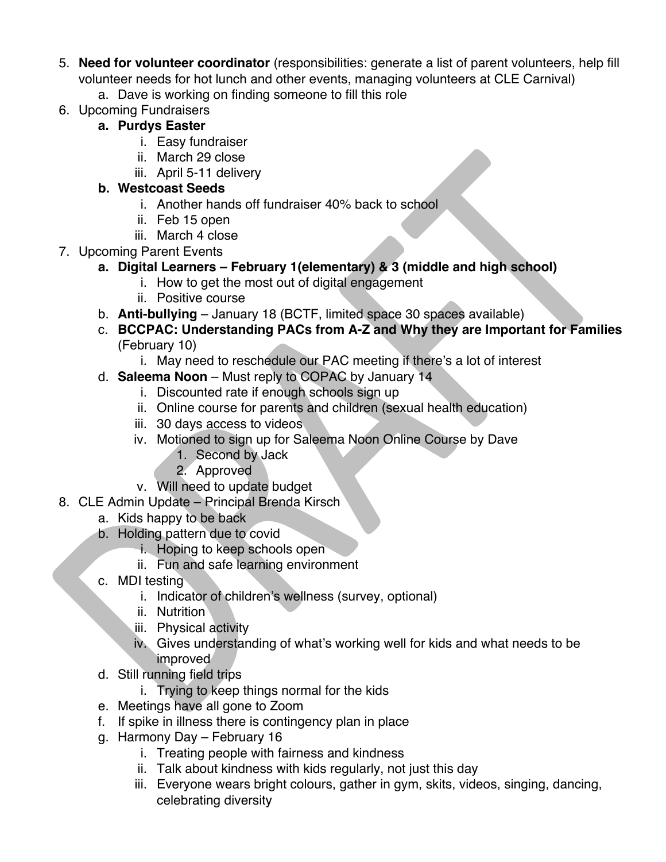- 5. **Need for volunteer coordinator** (responsibilities: generate a list of parent volunteers, help fill volunteer needs for hot lunch and other events, managing volunteers at CLE Carnival)
	- a. Dave is working on finding someone to fill this role
- 6. Upcoming Fundraisers

## **a. Purdys Easter**

- i. Easy fundraiser
- ii. March 29 close
- iii. April 5-11 delivery

## **b. Westcoast Seeds**

- i. Another hands off fundraiser 40% back to school
- ii. Feb 15 open
- iii. March 4 close
- 7. Upcoming Parent Events
	- **a. Digital Learners – February 1(elementary) & 3 (middle and high school)**
		- i. How to get the most out of digital engagement
		- ii. Positive course
	- b. **Anti-bullying** January 18 (BCTF, limited space 30 spaces available)
	- c. **BCCPAC: Understanding PACs from A-Z and Why they are Important for Families**  (February 10)
		- i. May need to reschedule our PAC meeting if there's a lot of interest
	- d. **Saleema Noon** Must reply to COPAC by January 14
		- i. Discounted rate if enough schools sign up
		- ii. Online course for parents and children (sexual health education)
		- iii. 30 days access to videos
		- iv. Motioned to sign up for Saleema Noon Online Course by Dave
			- 1. Second by Jack
			- 2. Approved
		- v. Will need to update budget
- 8. CLE Admin Update Principal Brenda Kirsch
	- a. Kids happy to be back
	- b. Holding pattern due to covid
		- i. Hoping to keep schools open
		- ii. Fun and safe learning environment
	- c. MDI testing
		- i. Indicator of children's wellness (survey, optional)
		- ii. Nutrition
		- iii. Physical activity
		- iv. Gives understanding of what's working well for kids and what needs to be improved
	- d. Still running field trips
		- i. Trying to keep things normal for the kids
	- e. Meetings have all gone to Zoom
	- f. If spike in illness there is contingency plan in place
	- g. Harmony Day February 16
		- i. Treating people with fairness and kindness
		- ii. Talk about kindness with kids regularly, not just this day
		- iii. Everyone wears bright colours, gather in gym, skits, videos, singing, dancing, celebrating diversity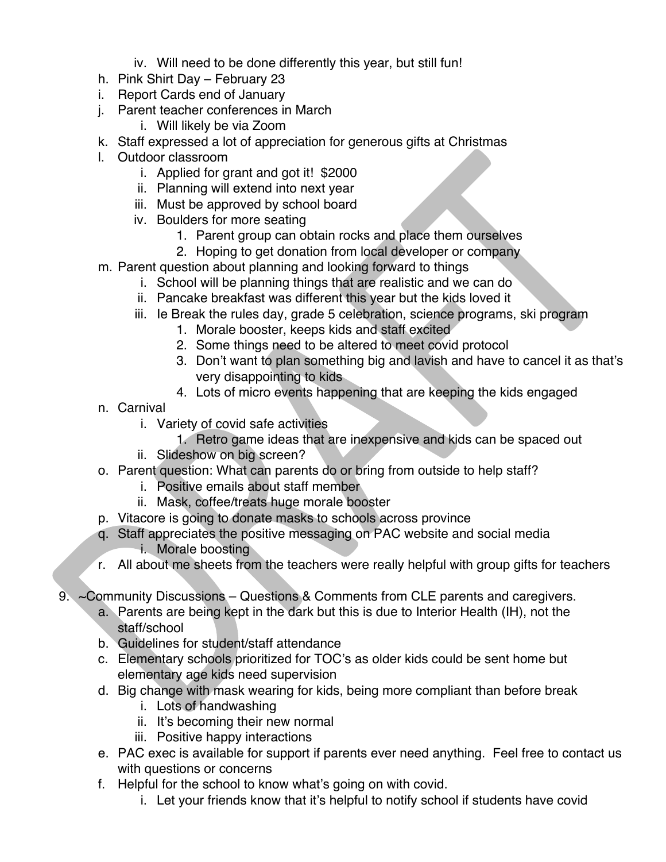- iv. Will need to be done differently this year, but still fun!
- h. Pink Shirt Day February 23
- i. Report Cards end of January
- j. Parent teacher conferences in March
	- i. Will likely be via Zoom
- k. Staff expressed a lot of appreciation for generous gifts at Christmas
- l. Outdoor classroom
	- i. Applied for grant and got it! \$2000
	- ii. Planning will extend into next year
	- iii. Must be approved by school board
	- iv. Boulders for more seating
		- 1. Parent group can obtain rocks and place them ourselves
		- 2. Hoping to get donation from local developer or company
- m. Parent question about planning and looking forward to things
	- i. School will be planning things that are realistic and we can do
	- ii. Pancake breakfast was different this year but the kids loved it
	- iii. Ie Break the rules day, grade 5 celebration, science programs, ski program
		- 1. Morale booster, keeps kids and staff excited
		- 2. Some things need to be altered to meet covid protocol
		- 3. Don't want to plan something big and lavish and have to cancel it as that's very disappointing to kids
		- 4. Lots of micro events happening that are keeping the kids engaged
- n. Carnival
	- i. Variety of covid safe activities
		- 1. Retro game ideas that are inexpensive and kids can be spaced out
	- ii. Slideshow on big screen?
- o. Parent question: What can parents do or bring from outside to help staff?
	- i. Positive emails about staff member
	- ii. Mask, coffee/treats huge morale booster
- p. Vitacore is going to donate masks to schools across province
- q. Staff appreciates the positive messaging on PAC website and social media i. Morale boosting
- r. All about me sheets from the teachers were really helpful with group gifts for teachers
- 9. ~Community Discussions Questions & Comments from CLE parents and caregivers.
	- a. Parents are being kept in the dark but this is due to Interior Health (IH), not the staff/school
	- b. Guidelines for student/staff attendance
	- c. Elementary schools prioritized for TOC's as older kids could be sent home but elementary age kids need supervision
	- d. Big change with mask wearing for kids, being more compliant than before break
		- i. Lots of handwashing
		- ii. It's becoming their new normal
		- iii. Positive happy interactions
	- e. PAC exec is available for support if parents ever need anything. Feel free to contact us with questions or concerns
	- f. Helpful for the school to know what's going on with covid.
		- i. Let your friends know that it's helpful to notify school if students have covid